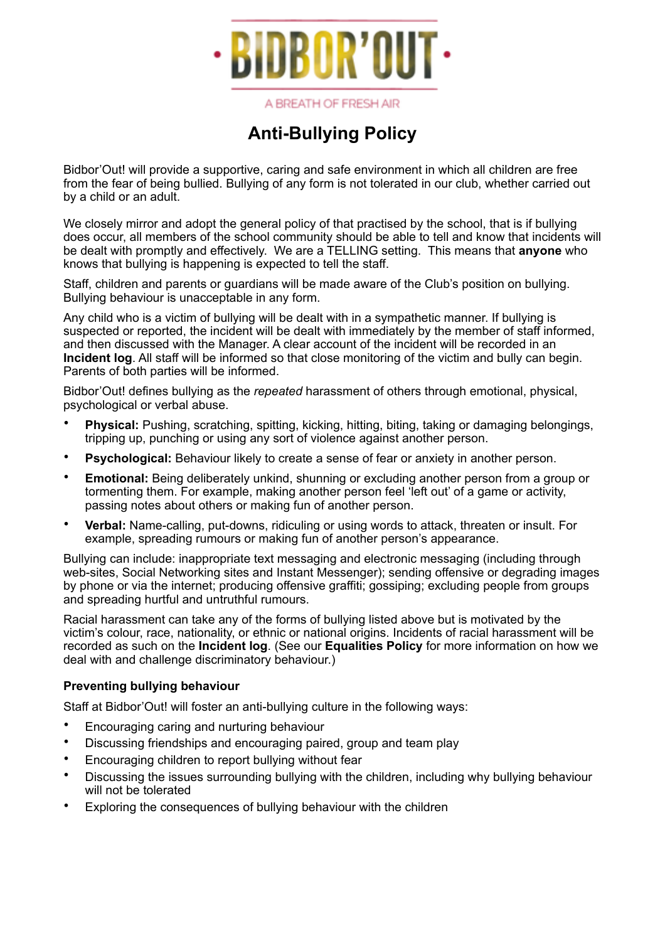

A BREATH OF FRESH AIR

## **Anti-Bullying Policy**

Bidbor'Out! will provide a supportive, caring and safe environment in which all children are free from the fear of being bullied. Bullying of any form is not tolerated in our club, whether carried out by a child or an adult.

We closely mirror and adopt the general policy of that practised by the school, that is if bullying does occur, all members of the school community should be able to tell and know that incidents will be dealt with promptly and effectively. We are a TELLING setting. This means that **anyone** who knows that bullying is happening is expected to tell the staff.

Staff, children and parents or guardians will be made aware of the Club's position on bullying. Bullying behaviour is unacceptable in any form.

Any child who is a victim of bullying will be dealt with in a sympathetic manner. If bullying is suspected or reported, the incident will be dealt with immediately by the member of staff informed, and then discussed with the Manager. A clear account of the incident will be recorded in an **Incident log**. All staff will be informed so that close monitoring of the victim and bully can begin. Parents of both parties will be informed.

Bidbor'Out! defines bullying as the *repeated* harassment of others through emotional, physical, psychological or verbal abuse.

- **Physical:** Pushing, scratching, spitting, kicking, hitting, biting, taking or damaging belongings, tripping up, punching or using any sort of violence against another person.
- **Psychological:** Behaviour likely to create a sense of fear or anxiety in another person.
- **Emotional:** Being deliberately unkind, shunning or excluding another person from a group or tormenting them. For example, making another person feel 'left out' of a game or activity, passing notes about others or making fun of another person.
- **Verbal:** Name-calling, put-downs, ridiculing or using words to attack, threaten or insult. For example, spreading rumours or making fun of another person's appearance.

Bullying can include: inappropriate text messaging and electronic messaging (including through web-sites, Social Networking sites and Instant Messenger); sending offensive or degrading images by phone or via the internet; producing offensive graffiti; gossiping; excluding people from groups and spreading hurtful and untruthful rumours.

Racial harassment can take any of the forms of bullying listed above but is motivated by the victim's colour, race, nationality, or ethnic or national origins. Incidents of racial harassment will be recorded as such on the **Incident log**. (See our **Equalities Policy** for more information on how we deal with and challenge discriminatory behaviour.)

## **Preventing bullying behaviour**

Staff at Bidbor'Out! will foster an anti-bullying culture in the following ways:

- Encouraging caring and nurturing behaviour
- Discussing friendships and encouraging paired, group and team play
- Encouraging children to report bullying without fear
- Discussing the issues surrounding bullying with the children, including why bullying behaviour will not be tolerated
- Exploring the consequences of bullying behaviour with the children